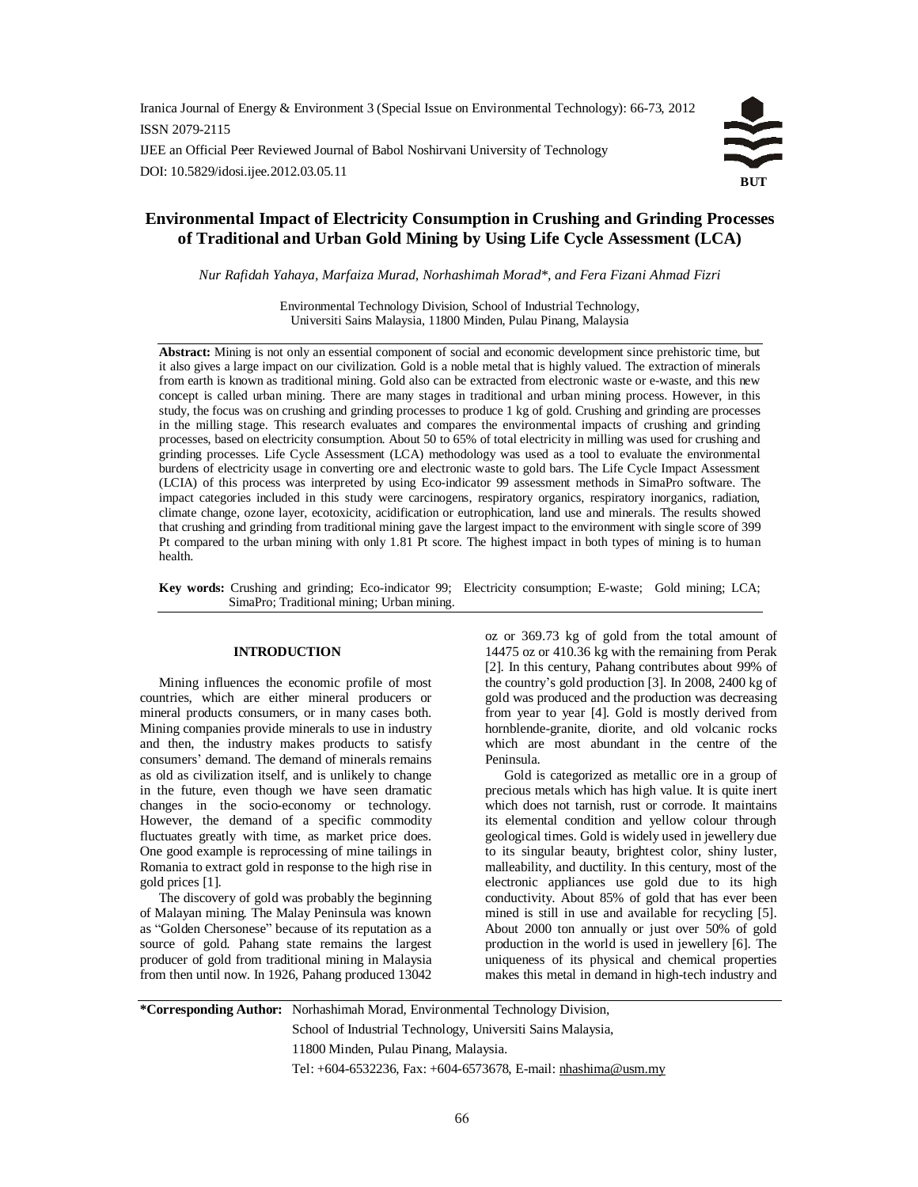Iranica Journal of Energy & Environment 3 (Special Issue on Environmental Technology): 66-73, 2012 ISSN 2079-2115 IJEE an Official Peer Reviewed Journal of Babol Noshirvani University of Technology

DOI: 10.5829/idosi.ijee.2012.03.05.11



# **Environmental Impact of Electricity Consumption in Crushing and Grinding Processes of Traditional and Urban Gold Mining by Using Life Cycle Assessment (LCA)**

*Nur Rafidah Yahaya, Marfaiza Murad, Norhashimah Morad\*, and Fera Fizani Ahmad Fizri*

Environmental Technology Division, School of Industrial Technology, Universiti Sains Malaysia, 11800 Minden, Pulau Pinang, Malaysia

**Abstract:** Mining is not only an essential component of social and economic development since prehistoric time, but it also gives a large impact on our civilization. Gold is a noble metal that is highly valued. The extraction of minerals from earth is known as traditional mining. Gold also can be extracted from electronic waste or e-waste, and this new concept is called urban mining. There are many stages in traditional and urban mining process. However, in this study, the focus was on crushing and grinding processes to produce 1 kg of gold. Crushing and grinding are processes in the milling stage. This research evaluates and compares the environmental impacts of crushing and grinding processes, based on electricity consumption. About 50 to 65% of total electricity in milling was used for crushing and grinding processes. Life Cycle Assessment (LCA) methodology was used as a tool to evaluate the environmental burdens of electricity usage in converting ore and electronic waste to gold bars. The Life Cycle Impact Assessment (LCIA) of this process was interpreted by using Eco-indicator 99 assessment methods in SimaPro software. The impact categories included in this study were carcinogens, respiratory organics, respiratory inorganics, radiation, climate change, ozone layer, ecotoxicity, acidification or eutrophication, land use and minerals. The results showed that crushing and grinding from traditional mining gave the largest impact to the environment with single score of 399 Pt compared to the urban mining with only 1.81 Pt score. The highest impact in both types of mining is to human health.

**Key words:** Crushing and grinding; Eco-indicator 99; Electricity consumption; E-waste; Gold mining; LCA; SimaPro; Traditional mining; Urban mining.

# **INTRODUCTION**

Mining influences the economic profile of most countries, which are either mineral producers or mineral products consumers, or in many cases both. Mining companies provide minerals to use in industry and then, the industry makes products to satisfy consumers' demand. The demand of minerals remains as old as civilization itself, and is unlikely to change in the future, even though we have seen dramatic changes in the socio-economy or technology. However, the demand of a specific commodity fluctuates greatly with time, as market price does. One good example is reprocessing of mine tailings in Romania to extract gold in response to the high rise in gold prices [1].

The discovery of gold was probably the beginning of Malayan mining. The Malay Peninsula was known as "Golden Chersonese" because of its reputation as a source of gold. Pahang state remains the largest producer of gold from traditional mining in Malaysia from then until now. In 1926, Pahang produced 13042

oz or 369.73 kg of gold from the total amount of 14475 oz or 410.36 kg with the remaining from Perak [2]. In this century, Pahang contributes about 99% of the country's gold production [3]. In 2008, 2400 kg of gold was produced and the production was decreasing from year to year [4]. Gold is mostly derived from hornblende-granite, diorite, and old volcanic rocks which are most abundant in the centre of the Peninsula.

Gold is categorized as metallic ore in a group of precious metals which has high value. It is quite inert which does not tarnish, rust or corrode. It maintains its elemental condition and yellow colour through geological times. Gold is widely used in jewellery due to its singular beauty, brightest color, shiny luster, malleability, and ductility. In this century, most of the electronic appliances use gold due to its high conductivity. About 85% of gold that has ever been mined is still in use and available for recycling [5]. About 2000 ton annually or just over 50% of gold production in the world is used in jewellery [6]. The uniqueness of its physical and chemical properties makes this metal in demand in high-tech industry and

**\*Corresponding Author:** Norhashimah Morad, Environmental Technology Division, School of Industrial Technology, Universiti Sains Malaysia, 11800 Minden, Pulau Pinang, Malaysia. Tel: +604-6532236, Fax: +604-6573678, E-mail: [nhashima@usm.my](mailto:nhashima@usm.my)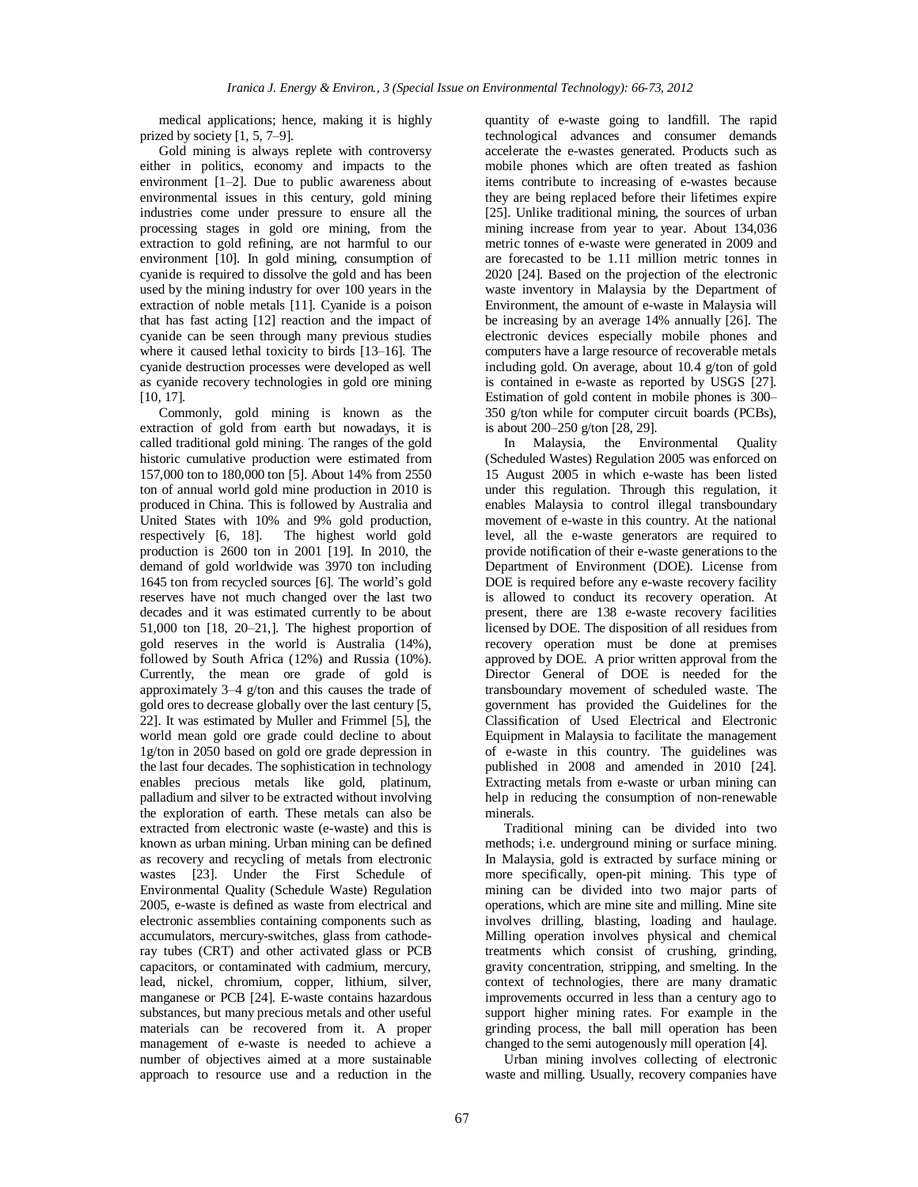medical applications; hence, making it is highly prized by society [1, 5, 7–9].

Gold mining is always replete with controversy either in politics, economy and impacts to the environment [1–2]. Due to public awareness about environmental issues in this century, gold mining industries come under pressure to ensure all the processing stages in gold ore mining, from the extraction to gold refining, are not harmful to our environment [10]. In gold mining, consumption of cyanide is required to dissolve the gold and has been used by the mining industry for over 100 years in the extraction of noble metals [11]. Cyanide is a poison that has fast acting [12] reaction and the impact of cyanide can be seen through many previous studies where it caused lethal toxicity to birds [13–16]. The cyanide destruction processes were developed as well as cyanide recovery technologies in gold ore mining [10, 17].

Commonly, gold mining is known as the extraction of gold from earth but nowadays, it is called traditional gold mining. The ranges of the gold historic cumulative production were estimated from 157,000 ton to 180,000 ton [5]. About 14% from 2550 ton of annual world gold mine production in 2010 is produced in China. This is followed by Australia and United States with 10% and 9% gold production, respectively [6, 18]. The highest world gold production is 2600 ton in 2001 [19]. In 2010, the demand of gold worldwide was 3970 ton including 1645 ton from recycled sources [6]. The world's gold reserves have not much changed over the last two decades and it was estimated currently to be about 51,000 ton [18, 20–21,]. The highest proportion of gold reserves in the world is Australia (14%), followed by South Africa (12%) and Russia (10%). Currently, the mean ore grade of gold is approximately 3–4 g/ton and this causes the trade of gold ores to decrease globally over the last century [5, 22]. It was estimated by Muller and Frimmel [5], the world mean gold ore grade could decline to about 1g/ton in 2050 based on gold ore grade depression in the last four decades. The sophistication in technology enables precious metals like gold, platinum, palladium and silver to be extracted without involving the exploration of earth. These metals can also be extracted from electronic waste (e-waste) and this is known as urban mining. Urban mining can be defined as recovery and recycling of metals from electronic wastes [23]. Under the First Schedule of Environmental Quality (Schedule Waste) Regulation 2005, e-waste is defined as waste from electrical and electronic assemblies containing components such as accumulators, mercury-switches, glass from cathoderay tubes (CRT) and other activated glass or PCB capacitors, or contaminated with cadmium, mercury, lead, nickel, chromium, copper, lithium, silver, manganese or PCB [24]. E-waste contains hazardous substances, but many precious metals and other useful materials can be recovered from it. A proper management of e-waste is needed to achieve a number of objectives aimed at a more sustainable approach to resource use and a reduction in the

quantity of e-waste going to landfill. The rapid technological advances and consumer demands accelerate the e-wastes generated. Products such as mobile phones which are often treated as fashion items contribute to increasing of e-wastes because they are being replaced before their lifetimes expire [25]. Unlike traditional mining, the sources of urban mining increase from year to year. About 134,036 metric tonnes of e-waste were generated in 2009 and are forecasted to be 1.11 million metric tonnes in 2020 [24]. Based on the projection of the electronic waste inventory in Malaysia by the Department of Environment, the amount of e-waste in Malaysia will be increasing by an average 14% annually [26]. The electronic devices especially mobile phones and computers have a large resource of recoverable metals including gold. On average, about 10.4 g/ton of gold is contained in e-waste as reported by USGS [27]. Estimation of gold content in mobile phones is 300– 350 g/ton while for computer circuit boards (PCBs), is about 200–250 g/ton [28, 29].

In Malaysia, the Environmental Quality (Scheduled Wastes) Regulation 2005 was enforced on 15 August 2005 in which e-waste has been listed under this regulation. Through this regulation, it enables Malaysia to control illegal transboundary movement of e-waste in this country. At the national level, all the e-waste generators are required to provide notification of their e-waste generations to the Department of Environment (DOE). License from DOE is required before any e-waste recovery facility is allowed to conduct its recovery operation. At present, there are 138 e-waste recovery facilities licensed by DOE. The disposition of all residues from recovery operation must be done at premises approved by DOE. A prior written approval from the Director General of DOE is needed for the transboundary movement of scheduled waste. The government has provided the Guidelines for the Classification of Used Electrical and Electronic Equipment in Malaysia to facilitate the management of e-waste in this country. The guidelines was published in 2008 and amended in 2010 [24]. Extracting metals from e-waste or urban mining can help in reducing the consumption of non-renewable minerals.

Traditional mining can be divided into two methods; i.e. underground mining or surface mining. In Malaysia, gold is extracted by surface mining or more specifically, open-pit mining. This type of mining can be divided into two major parts of operations, which are mine site and milling. Mine site involves drilling, blasting, loading and haulage. Milling operation involves physical and chemical treatments which consist of crushing, grinding, gravity concentration, stripping, and smelting. In the context of technologies, there are many dramatic improvements occurred in less than a century ago to support higher mining rates. For example in the grinding process, the ball mill operation has been changed to the semi autogenously mill operation [4].

Urban mining involves collecting of electronic waste and milling. Usually, recovery companies have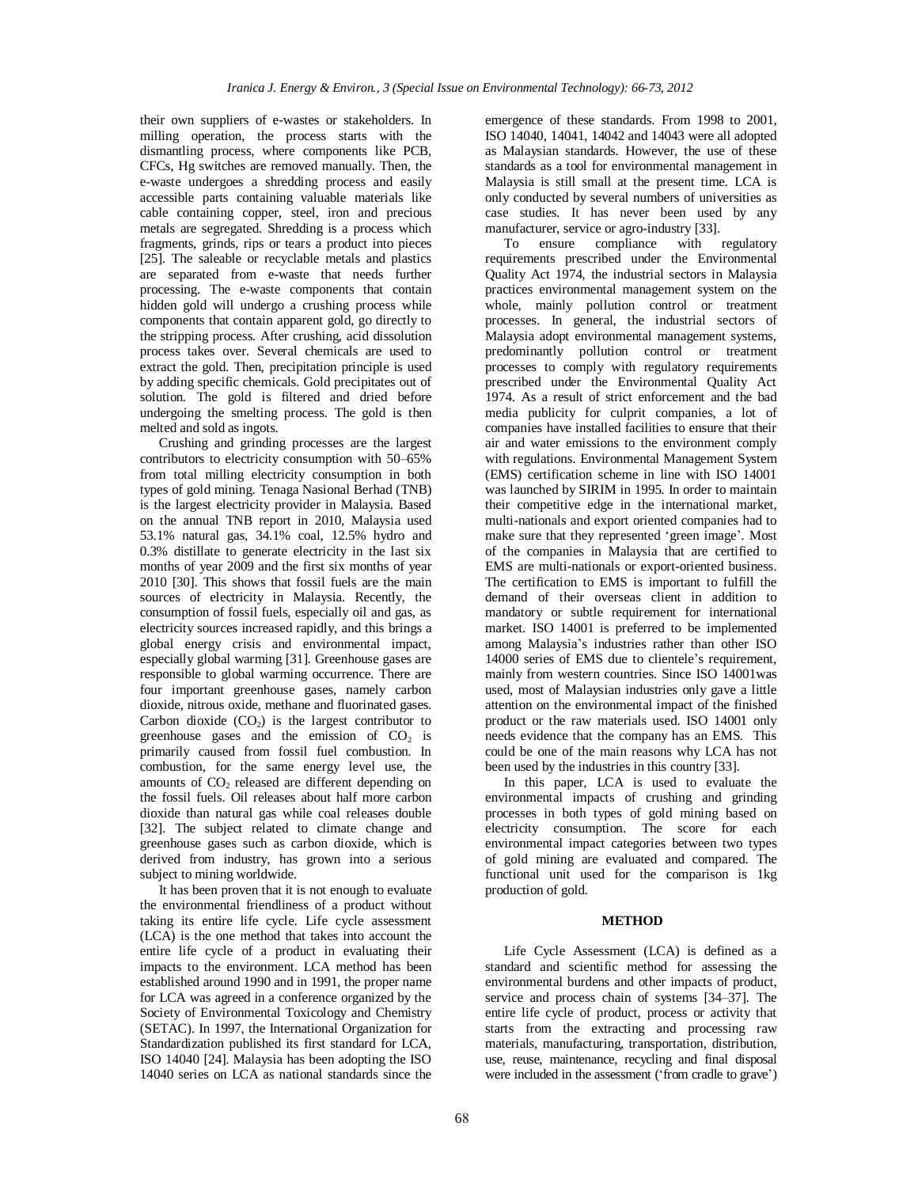their own suppliers of e-wastes or stakeholders. In milling operation, the process starts with the dismantling process, where components like PCB, CFCs, Hg switches are removed manually. Then, the e-waste undergoes a shredding process and easily accessible parts containing valuable materials like cable containing copper, steel, iron and precious metals are segregated. Shredding is a process which fragments, grinds, rips or tears a product into pieces [25]. The saleable or recyclable metals and plastics are separated from e-waste that needs further processing. The e-waste components that contain hidden gold will undergo a crushing process while components that contain apparent gold, go directly to the stripping process. After crushing, acid dissolution process takes over. Several chemicals are used to extract the gold. Then, precipitation principle is used by adding specific chemicals. Gold precipitates out of solution. The gold is filtered and dried before undergoing the smelting process. The gold is then melted and sold as ingots.

Crushing and grinding processes are the largest contributors to electricity consumption with 50–65% from total milling electricity consumption in both types of gold mining. Tenaga Nasional Berhad (TNB) is the largest electricity provider in Malaysia. Based on the annual TNB report in 2010, Malaysia used 53.1% natural gas, 34.1% coal, 12.5% hydro and 0.3% distillate to generate electricity in the last six months of year 2009 and the first six months of year 2010 [30]. This shows that fossil fuels are the main sources of electricity in Malaysia. Recently, the consumption of fossil fuels, especially oil and gas, as electricity sources increased rapidly, and this brings a global energy crisis and environmental impact, especially global warming [31]. Greenhouse gases are responsible to global warming occurrence. There are four important greenhouse gases, namely carbon dioxide, nitrous oxide, methane and fluorinated gases. Carbon dioxide  $(CO<sub>2</sub>)$  is the largest contributor to greenhouse gases and the emission of  $CO<sub>2</sub>$  is primarily caused from fossil fuel combustion. In combustion, for the same energy level use, the amounts of CO<sub>2</sub> released are different depending on the fossil fuels. Oil releases about half more carbon dioxide than natural gas while coal releases double [32]. The subject related to climate change and greenhouse gases such as carbon dioxide, which is derived from industry, has grown into a serious subject to mining worldwide.

It has been proven that it is not enough to evaluate the environmental friendliness of a product without taking its entire life cycle. Life cycle assessment (LCA) is the one method that takes into account the entire life cycle of a product in evaluating their impacts to the environment. LCA method has been established around 1990 and in 1991, the proper name for LCA was agreed in a conference organized by the Society of Environmental Toxicology and Chemistry (SETAC). In 1997, the International Organization for Standardization published its first standard for LCA, ISO 14040 [24]. Malaysia has been adopting the ISO 14040 series on LCA as national standards since the emergence of these standards. From 1998 to 2001, ISO 14040, 14041, 14042 and 14043 were all adopted as Malaysian standards. However, the use of these standards as a tool for environmental management in Malaysia is still small at the present time. LCA is only conducted by several numbers of universities as case studies. It has never been used by any manufacturer, service or agro-industry [33].

To ensure compliance with regulatory requirements prescribed under the Environmental Quality Act 1974, the industrial sectors in Malaysia practices environmental management system on the whole, mainly pollution control or treatment processes. In general, the industrial sectors of Malaysia adopt environmental management systems, predominantly pollution control or treatment processes to comply with regulatory requirements prescribed under the Environmental Quality Act 1974. As a result of strict enforcement and the bad media publicity for culprit companies, a lot of companies have installed facilities to ensure that their air and water emissions to the environment comply with regulations. Environmental Management System (EMS) certification scheme in line with ISO 14001 was launched by SIRIM in 1995. In order to maintain their competitive edge in the international market, multi-nationals and export oriented companies had to make sure that they represented 'green image'. Most of the companies in Malaysia that are certified to EMS are multi-nationals or export-oriented business. The certification to EMS is important to fulfill the demand of their overseas client in addition to mandatory or subtle requirement for international market. ISO 14001 is preferred to be implemented among Malaysia's industries rather than other ISO 14000 series of EMS due to clientele's requirement, mainly from western countries. Since ISO 14001was used, most of Malaysian industries only gave a little attention on the environmental impact of the finished product or the raw materials used. ISO 14001 only needs evidence that the company has an EMS. This could be one of the main reasons why LCA has not been used by the industries in this country [33].

In this paper, LCA is used to evaluate the environmental impacts of crushing and grinding processes in both types of gold mining based on electricity consumption. The score for each environmental impact categories between two types of gold mining are evaluated and compared. The functional unit used for the comparison is 1kg production of gold.

#### **METHOD**

Life Cycle Assessment (LCA) is defined as a standard and scientific method for assessing the environmental burdens and other impacts of product, service and process chain of systems [34–37]. The entire life cycle of product, process or activity that starts from the extracting and processing raw materials, manufacturing, transportation, distribution, use, reuse, maintenance, recycling and final disposal were included in the assessment ('from cradle to grave')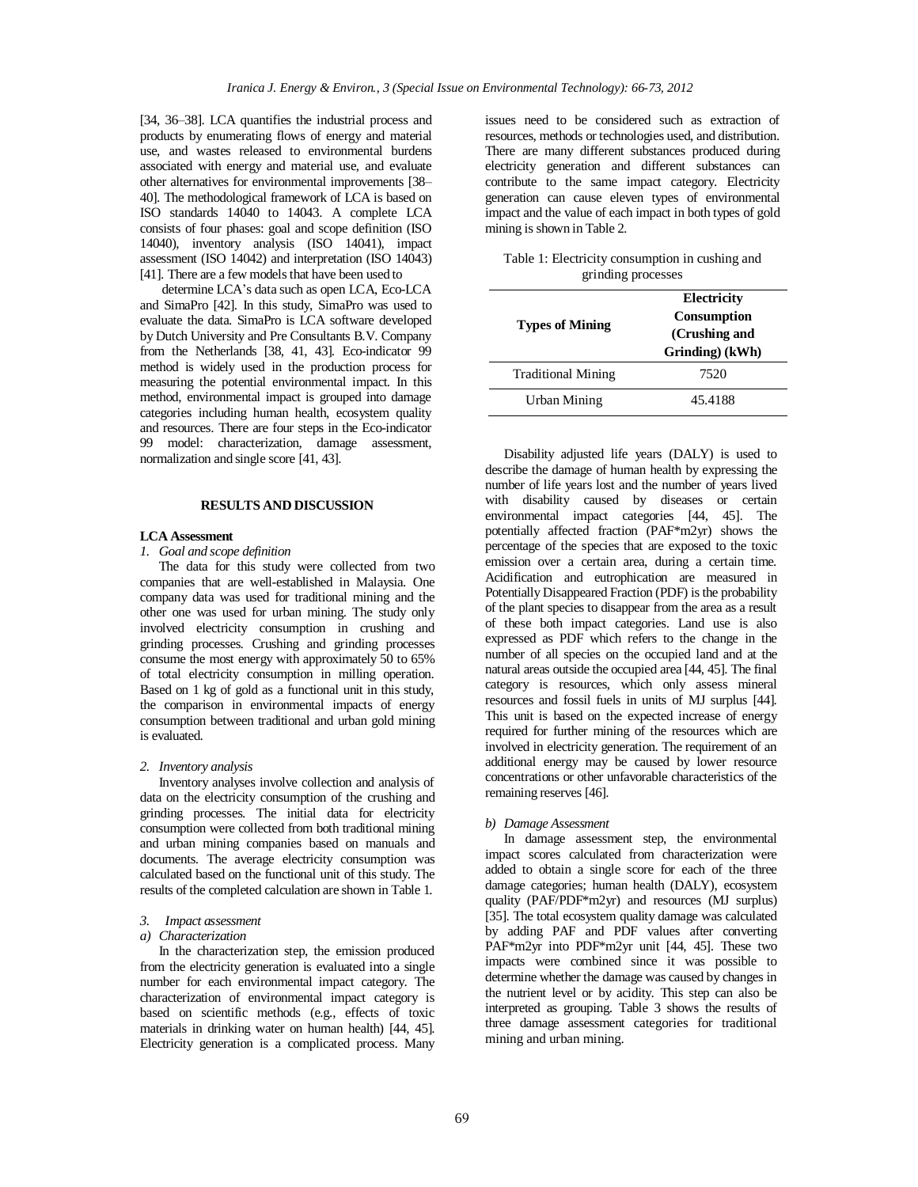[34, 36–38]. LCA quantifies the industrial process and products by enumerating flows of energy and material use, and wastes released to environmental burdens associated with energy and material use, and evaluate other alternatives for environmental improvements [38– 40]. The methodological framework of LCA is based on ISO standards 14040 to 14043. A complete LCA consists of four phases: goal and scope definition (ISO 14040), inventory analysis (ISO 14041), impact assessment (ISO 14042) and interpretation (ISO 14043) [41]. There are a few models that have been used to

determine LCA's data such as open LCA, Eco-LCA and SimaPro [42]. In this study, SimaPro was used to evaluate the data. SimaPro is LCA software developed by Dutch University and Pre Consultants B.V. Company from the Netherlands [38, 41, 43]. Eco-indicator 99 method is widely used in the production process for measuring the potential environmental impact. In this method, environmental impact is grouped into damage categories including human health, ecosystem quality and resources. There are four steps in the Eco-indicator 99 model: characterization, damage assessment, normalization and single score [41, 43].

# **RESULTS AND DISCUSSION**

# **LCA Assessment**

# *1. Goal and scope definition*

The data for this study were collected from two companies that are well-established in Malaysia. One company data was used for traditional mining and the other one was used for urban mining. The study only involved electricity consumption in crushing and grinding processes. Crushing and grinding processes consume the most energy with approximately 50 to 65% of total electricity consumption in milling operation. Based on 1 kg of gold as a functional unit in this study, the comparison in environmental impacts of energy consumption between traditional and urban gold mining is evaluated.

# *2. Inventory analysis*

Inventory analyses involve collection and analysis of data on the electricity consumption of the crushing and grinding processes. The initial data for electricity consumption were collected from both traditional mining and urban mining companies based on manuals and documents. The average electricity consumption was calculated based on the functional unit of this study. The results of the completed calculation are shown in Table 1.

#### *3. Impact assessment*

#### *a) Characterization*

In the characterization step, the emission produced from the electricity generation is evaluated into a single number for each environmental impact category. The characterization of environmental impact category is based on scientific methods (e.g., effects of toxic materials in drinking water on human health) [44, 45]. Electricity generation is a complicated process. Many issues need to be considered such as extraction of resources, methods or technologies used, and distribution. There are many different substances produced during electricity generation and different substances can contribute to the same impact category. Electricity generation can cause eleven types of environmental impact and the value of each impact in both types of gold mining is shown in Table 2.

| Table 1: Electricity consumption in cushing and |  |  |
|-------------------------------------------------|--|--|
| grinding processes                              |  |  |

|                           | Electricity                  |  |  |  |
|---------------------------|------------------------------|--|--|--|
|                           | Consumption<br>(Crushing and |  |  |  |
| <b>Types of Mining</b>    |                              |  |  |  |
|                           | Grinding) (kWh)              |  |  |  |
| <b>Traditional Mining</b> | 7520                         |  |  |  |
| <b>Urban Mining</b>       | 45.4188                      |  |  |  |
|                           |                              |  |  |  |

Disability adjusted life years (DALY) is used to describe the damage of human health by expressing the number of life years lost and the number of years lived with disability caused by diseases or certain environmental impact categories [44, 45]. The potentially affected fraction (PAF\*m2yr) shows the percentage of the species that are exposed to the toxic emission over a certain area, during a certain time. Acidification and eutrophication are measured in Potentially Disappeared Fraction (PDF) is the probability of the plant species to disappear from the area as a result of these both impact categories. Land use is also expressed as PDF which refers to the change in the number of all species on the occupied land and at the natural areas outside the occupied area [44, 45]. The final category is resources, which only assess mineral resources and fossil fuels in units of MJ surplus [44]. This unit is based on the expected increase of energy required for further mining of the resources which are involved in electricity generation. The requirement of an additional energy may be caused by lower resource concentrations or other unfavorable characteristics of the remaining reserves [46].

### *b) Damage Assessment*

In damage assessment step, the environmental impact scores calculated from characterization were added to obtain a single score for each of the three damage categories; human health (DALY), ecosystem quality (PAF/PDF\*m2yr) and resources (MJ surplus) [35]. The total ecosystem quality damage was calculated by adding PAF and PDF values after converting PAF\*m2yr into PDF\*m2yr unit [44, 45]. These two impacts were combined since it was possible to determine whether the damage was caused by changes in the nutrient level or by acidity. This step can also be interpreted as grouping. Table 3 shows the results of three damage assessment categories for traditional mining and urban mining.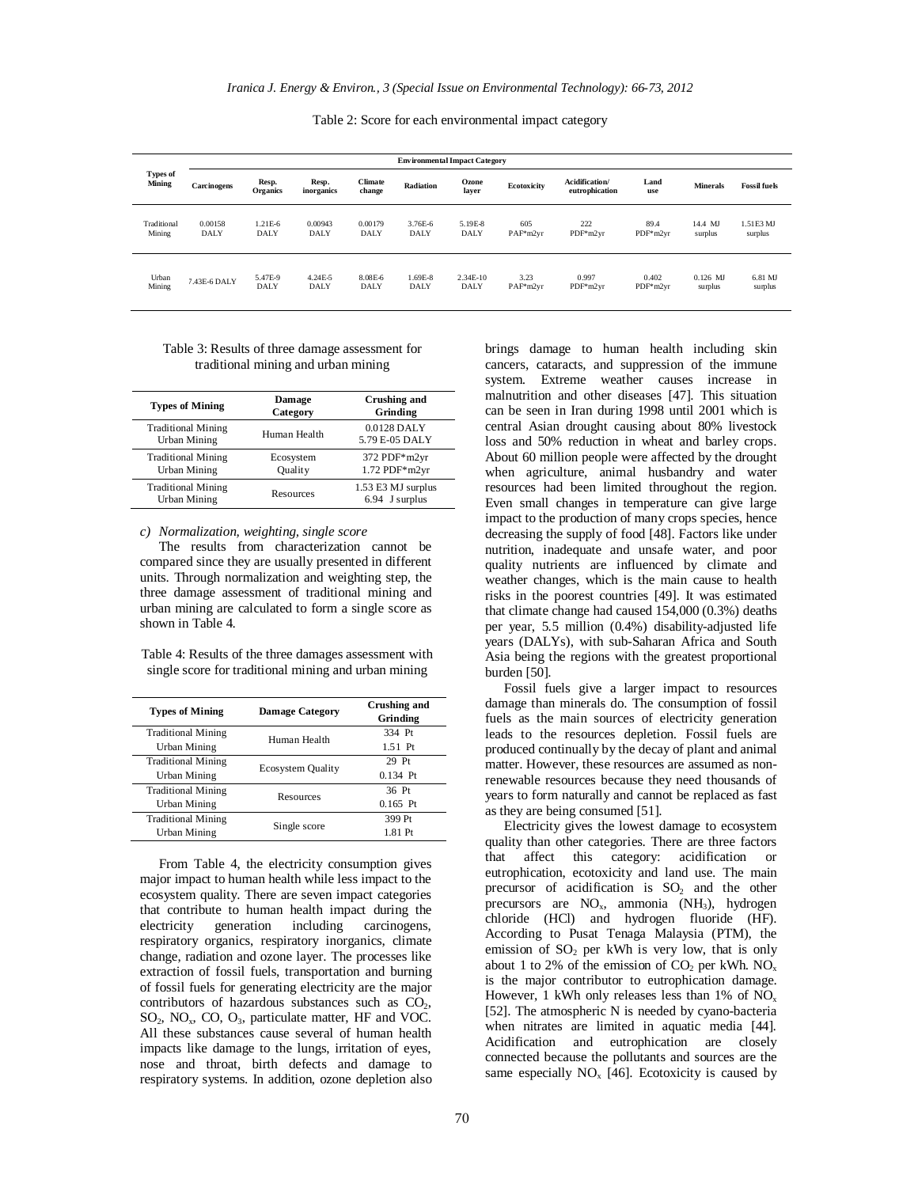Table 2: Score for each environmental impact category

|                           | <b>Environmental Impact Category</b> |                   |                     |                          |             |                |             |                                  |             |                 |                     |
|---------------------------|--------------------------------------|-------------------|---------------------|--------------------------|-------------|----------------|-------------|----------------------------------|-------------|-----------------|---------------------|
| <b>Types of</b><br>Mining | Carcinogens                          | Resp.<br>Organics | Resp.<br>inorganics | <b>Climate</b><br>change | Radiation   | Ozone<br>laver | Ecotoxicity | Acidification/<br>eutrophication | Land<br>use | <b>Minerals</b> | <b>Fossil fuels</b> |
| Traditional               | 0.00158                              | 1.21E-6           | 0.00943             | 0.00179                  | 3.76E-6     | 5.19E-8        | 605         | 222                              | 89.4        | 14.4 MJ         | 1.51E3 MJ           |
| Mining                    | <b>DALY</b>                          | <b>DALY</b>       | <b>DALY</b>         | <b>DALY</b>              | <b>DALY</b> | <b>DALY</b>    | PAF*m2vr    | PDF*m2vr                         | $PDF*$ m2vr | surplus         | surplus             |
| Urban                     | 7.43E-6 DALY                         | 5.47E-9           | 4.24E-5             | 8.08E-6                  | 1.69E-8     | 2.34E-10       | 3.23        | 0.997                            | 0.402       | $0.126$ MJ      | 6.81 MJ             |
| Mining                    |                                      | <b>DALY</b>       | <b>DALY</b>         | <b>DALY</b>              | <b>DALY</b> | <b>DALY</b>    | $PAF*m2vr$  | $PDF*m2vr$                       | $PDF*$ m2vr | surplus         | surplus             |

### Table 3: Results of three damage assessment for traditional mining and urban mining

| <b>Types of Mining</b>                           | <b>Damage</b><br>Category | Crushing and<br>Grinding             |
|--------------------------------------------------|---------------------------|--------------------------------------|
| <b>Traditional Mining</b><br>Urban Mining        | Human Health              | $0.0128$ DALY<br>5.79 E-05 DALY      |
| <b>Traditional Mining</b><br>Urban Mining        | Ecosystem<br>Ouality      | 372 PDF*m2yr<br>$1.72$ PDF* $m2$ yr  |
| <b>Traditional Mining</b><br><b>Urban Mining</b> | Resources                 | 1.53 E3 MJ surplus<br>6.94 J surplus |

*c) Normalization, weighting, single score*

The results from characterization cannot be compared since they are usually presented in different units. Through normalization and weighting step, the three damage assessment of traditional mining and urban mining are calculated to form a single score as shown in Table 4.

Table 4: Results of the three damages assessment with single score for traditional mining and urban mining

| <b>Types of Mining</b>    | <b>Damage Category</b>                                                | Crushing and<br>Grinding |  |
|---------------------------|-----------------------------------------------------------------------|--------------------------|--|
| <b>Traditional Mining</b> |                                                                       | 334 Pt                   |  |
| Urban Mining              |                                                                       | $1.51$ Pt                |  |
| <b>Traditional Mining</b> |                                                                       | 29 Pt                    |  |
| Urban Mining              |                                                                       | $0.134$ Pt               |  |
| <b>Traditional Mining</b> |                                                                       | 36 Pt                    |  |
| Urban Mining              |                                                                       | $0.165$ Pt               |  |
| <b>Traditional Mining</b> |                                                                       | 399 Pt                   |  |
| Urban Mining              |                                                                       | 1.81 Pt                  |  |
|                           | Human Health<br><b>Ecosystem Quality</b><br>Resources<br>Single score |                          |  |

From Table 4, the electricity consumption gives major impact to human health while less impact to the ecosystem quality. There are seven impact categories that contribute to human health impact during the electricity generation including carcinogens, respiratory organics, respiratory inorganics, climate change, radiation and ozone layer. The processes like extraction of fossil fuels, transportation and burning of fossil fuels for generating electricity are the major contributors of hazardous substances such as  $CO<sub>2</sub>$ ,  $SO_2$ , NO<sub>x</sub>, CO, O<sub>3</sub>, particulate matter, HF and VOC. All these substances cause several of human health impacts like damage to the lungs, irritation of eyes, nose and throat, birth defects and damage to respiratory systems. In addition, ozone depletion also

brings damage to human health including skin cancers, cataracts, and suppression of the immune system. Extreme weather causes increase in malnutrition and other diseases [47]. This situation can be seen in Iran during 1998 until 2001 which is central Asian drought causing about 80% livestock loss and 50% reduction in wheat and barley crops. About 60 million people were affected by the drought when agriculture, animal husbandry and water resources had been limited throughout the region. Even small changes in temperature can give large impact to the production of many crops species, hence decreasing the supply of food [48]. Factors like under nutrition, inadequate and unsafe water, and poor quality nutrients are influenced by climate and weather changes, which is the main cause to health risks in the poorest countries [49]. It was estimated that climate change had caused 154,000 (0.3%) deaths per year, 5.5 million (0.4%) disability-adjusted life years (DALYs), with sub-Saharan Africa and South Asia being the regions with the greatest proportional burden [50].

Fossil fuels give a larger impact to resources damage than minerals do. The consumption of fossil fuels as the main sources of electricity generation leads to the resources depletion. Fossil fuels are produced continually by the decay of plant and animal matter. However, these resources are assumed as nonrenewable resources because they need thousands of years to form naturally and cannot be replaced as fast as they are being consumed [51].

Electricity gives the lowest damage to ecosystem quality than other categories. There are three factors that affect this category: acidification or eutrophication, ecotoxicity and land use. The main precursor of acidification is  $SO_2$  and the other precursors are NO<sub>x</sub>, ammonia (NH<sub>3</sub>), hydrogen chloride (HCl) and hydrogen fluoride (HF). According to Pusat Tenaga Malaysia (PTM), the emission of  $SO<sub>2</sub>$  per kWh is very low, that is only about 1 to 2% of the emission of  $CO_2$  per kWh.  $NO_x$ is the major contributor to eutrophication damage. However, 1 kWh only releases less than 1% of  $NO<sub>x</sub>$ [52]. The atmospheric N is needed by cyano-bacteria when nitrates are limited in aquatic media [44]. Acidification and eutrophication are closely connected because the pollutants and sources are the same especially  $NO_x$  [46]. Ecotoxicity is caused by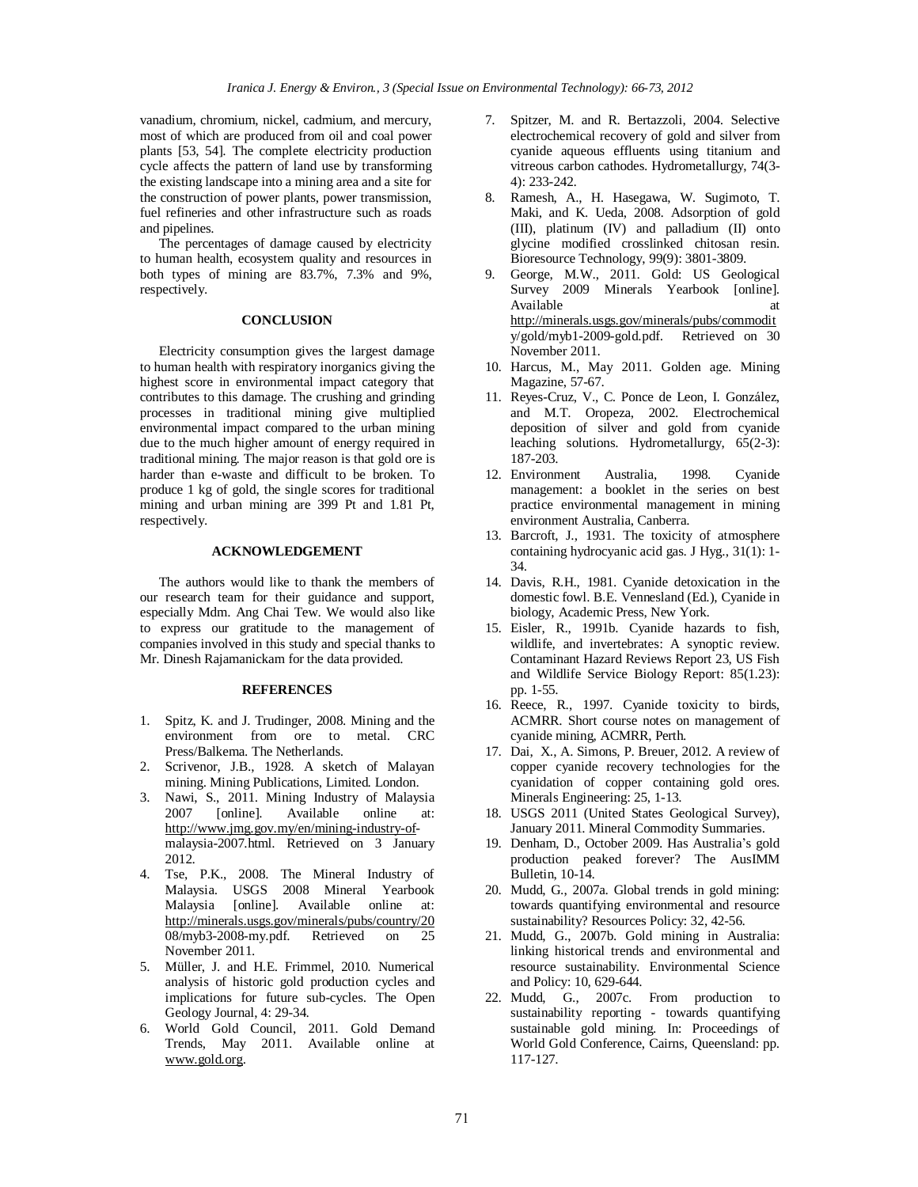vanadium, chromium, nickel, cadmium, and mercury, most of which are produced from oil and coal power plants [53, 54]. The complete electricity production cycle affects the pattern of land use by transforming the existing landscape into a mining area and a site for the construction of power plants, power transmission, fuel refineries and other infrastructure such as roads and pipelines.

The percentages of damage caused by electricity to human health, ecosystem quality and resources in both types of mining are 83.7%, 7.3% and 9%, respectively.

# **CONCLUSION**

Electricity consumption gives the largest damage to human health with respiratory inorganics giving the highest score in environmental impact category that contributes to this damage. The crushing and grinding processes in traditional mining give multiplied environmental impact compared to the urban mining due to the much higher amount of energy required in traditional mining. The major reason is that gold ore is harder than e-waste and difficult to be broken. To produce 1 kg of gold, the single scores for traditional mining and urban mining are 399 Pt and 1.81 Pt, respectively.

# **ACKNOWLEDGEMENT**

The authors would like to thank the members of our research team for their guidance and support, especially Mdm. Ang Chai Tew. We would also like to express our gratitude to the management of companies involved in this study and special thanks to Mr. Dinesh Rajamanickam for the data provided.

# **REFERENCES**

- 1. Spitz, K. and J. Trudinger, 2008. Mining and the environment from ore to metal. CRC Press/Balkema. The Netherlands.
- 2. Scrivenor, J.B., 1928. A sketch of Malayan mining. Mining Publications, Limited. London.
- 3. Nawi, S., 2011. Mining Industry of Malaysia 2007 [online]. Available online at: <http://www.jmg.gov.my/en/mining-industry-of>malaysia-2007.html. Retrieved on 3 January 2012.
- 4. Tse, P.K., 2008. The Mineral Industry of Malaysia. USGS 2008 Mineral Yearbook Malaysia [online]. Available online at: <http://minerals.usgs.gov/minerals/pubs/country/20> 08/myb3-2008-my.pdf. Retrieved on 25 November 2011.
- 5. Müller, J. and H.E. Frimmel, 2010. Numerical analysis of historic gold production cycles and implications for future sub-cycles. The Open Geology Journal, 4: 29-34.
- 6. World Gold Council, 2011. Gold Demand Trends, May 2011. Available online at [www.gold.org](http://www.gold.org).
- 7. Spitzer, M. and R. Bertazzoli, 2004. Selective electrochemical recovery of gold and silver from cyanide aqueous effluents using titanium and vitreous carbon cathodes. Hydrometallurgy, 74(3- 4): 233-242.
- 8. Ramesh, A., H. Hasegawa, W. Sugimoto, T. Maki, and K. Ueda, 2008. Adsorption of gold (III), platinum (IV) and palladium (II) onto glycine modified crosslinked chitosan resin. Bioresource Technology, 99(9): 3801-3809.
- 9. George, M.W., 2011. Gold: US Geological Survey 2009 Minerals Yearbook [online]. Available at a state at a state at a state at a state at a state at a state at a state at a state at a state at a state at a state at a state at a state at a state at a state at a state at a state at a state at a state at <http://minerals.usgs.gov/minerals/pubs/commodit> y/gold/myb1-2009-gold.pdf. Retrieved on 30 November 2011.
- 10. Harcus, M., May 2011. Golden age. Mining Magazine, 57-67.
- 11. Reyes-Cruz, V., C. Ponce de Leon, I. González, and M.T. Oropeza, 2002. Electrochemical deposition of silver and gold from cyanide leaching solutions. Hydrometallurgy, 65(2-3): 187-203.
- 12. Environment Australia, 1998. Cyanide management: a booklet in the series on best practice environmental management in mining environment Australia, Canberra.
- 13. Barcroft, J., 1931. The toxicity of atmosphere containing hydrocyanic acid gas. J Hyg., 31(1): 1- 34.
- 14. Davis, R.H., 1981. Cyanide detoxication in the domestic fowl. B.E. Vennesland (Ed.), Cyanide in biology, Academic Press, New York.
- 15. Eisler, R., 1991b. Cyanide hazards to fish, wildlife, and invertebrates: A synoptic review. Contaminant Hazard Reviews Report 23, US Fish and Wildlife Service Biology Report: 85(1.23): pp. 1-55.
- 16. Reece, R., 1997. Cyanide toxicity to birds, ACMRR. Short course notes on management of cyanide mining, ACMRR, Perth.
- 17. Dai, X., A. Simons, P. Breuer, 2012. A review of copper cyanide recovery technologies for the cyanidation of copper containing gold ores. Minerals Engineering: 25, 1-13.
- 18. USGS 2011 (United States Geological Survey), January 2011. Mineral Commodity Summaries.
- 19. Denham, D., October 2009. Has Australia's gold production peaked forever? The AusIMM Bulletin, 10-14.
- 20. Mudd, G., 2007a. Global trends in gold mining: towards quantifying environmental and resource sustainability? Resources Policy: 32, 42-56.
- 21. Mudd, G., 2007b. Gold mining in Australia: linking historical trends and environmental and resource sustainability. Environmental Science and Policy: 10, 629-644.
- 22. Mudd, G., 2007c. From production to sustainability reporting - towards quantifying sustainable gold mining. In: Proceedings of World Gold Conference, Cairns, Queensland: pp. 117-127.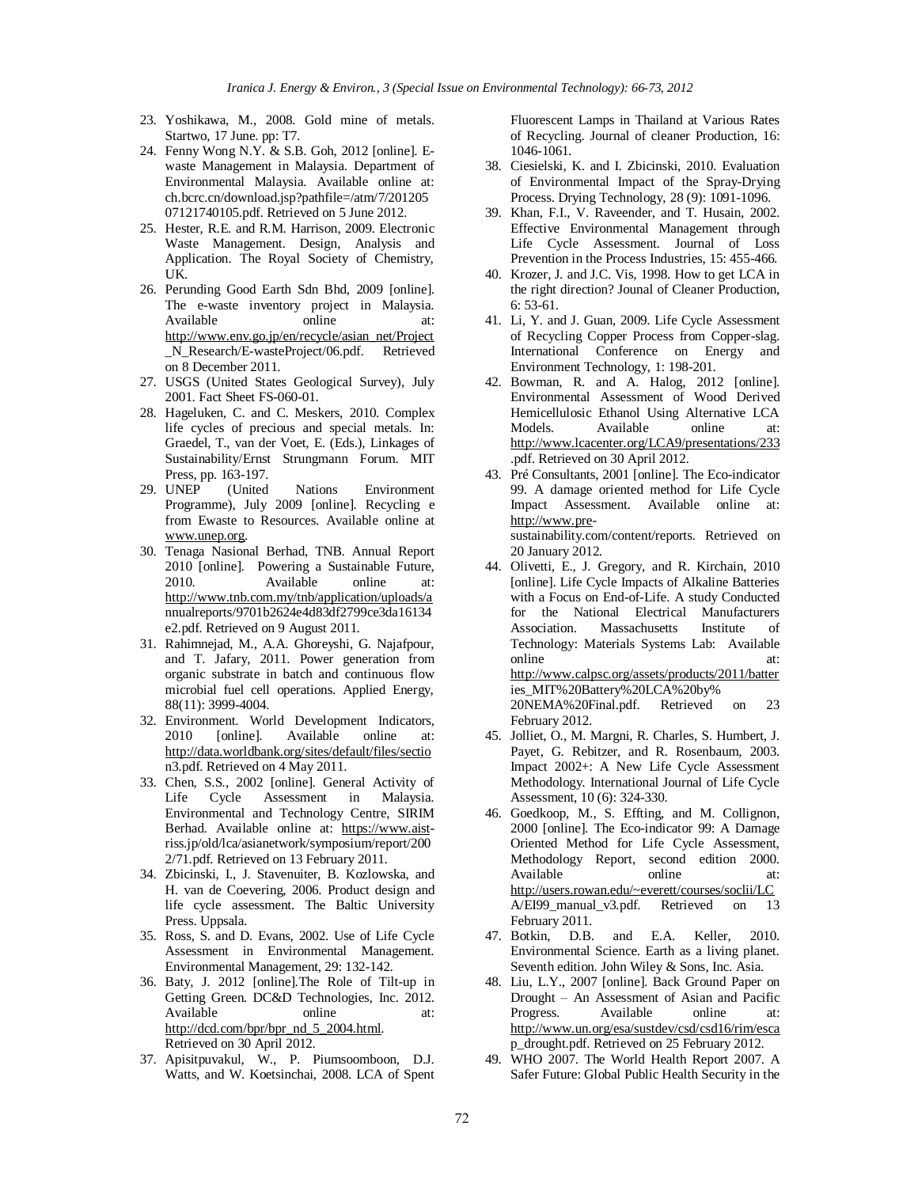- 23. Yoshikawa, M., 2008. Gold mine of metals. Startwo, 17 June. pp: T7.
- 24. Fenny Wong N.Y. & S.B. Goh, 2012 [online]. Ewaste Management in Malaysia. Department of Environmental Malaysia. Available online at: ch.bcrc.cn/download.jsp?pathfile=/atm/7/201205 07121740105.pdf. Retrieved on 5 June 2012.
- 25. Hester, R.E. and R.M. Harrison, 2009. Electronic Waste Management. Design, Analysis and Application. The Royal Society of Chemistry, UK.
- 26. Perunding Good Earth Sdn Bhd, 2009 [online]. The e-waste inventory project in Malaysia. Available online at: [http://www.env.go.jp/en/recycle/asian\\_net/Project](http://www.env.go.jp/en/recycle/asian_net/Project) \_N\_Research/E-wasteProject/06.pdf. Retrieved on 8 December 2011.
- 27. USGS (United States Geological Survey), July 2001. Fact Sheet FS-060-01.
- 28. Hageluken, C. and C. Meskers, 2010. Complex life cycles of precious and special metals. In: Graedel, T., van der Voet, E. (Eds.), Linkages of Sustainability/Ernst Strungmann Forum. MIT Press, pp. 163-197.
- 29. UNEP (United Nations Environment Programme), July 2009 [online]. Recycling e from Ewaste to Resources. Available online at [www.unep.org](http://www.unep.org).
- 30. Tenaga Nasional Berhad, TNB. Annual Report 2010 [online]. Powering a Sustainable Future, 2010. Available online at: <http://www.tnb.com.my/tnb/application/uploads/a> nnualreports/9701b2624e4d83df2799ce3da16134 e2.pdf. Retrieved on 9 August 2011.
- 31. Rahimnejad, M., A.A. Ghoreyshi, G. Najafpour, and T. Jafary, 2011. Power generation from organic substrate in batch and continuous flow microbial fuel cell operations. Applied Energy, 88(11): 3999-4004.
- 32. Environment. World Development Indicators, 2010 [online]. Available online at: <http://data.worldbank.org/sites/default/files/sectio> n3.pdf. Retrieved on 4 May 2011.
- 33. Chen, S.S., 2002 [online]. General Activity of Life Cycle Assessment in Malaysia. Environmental and Technology Centre, SIRIM Berhad. Available online at: <https://www.aist>riss.jp/old/lca/asianetwork/symposium/report/200 2/71.pdf. Retrieved on 13 February 2011.
- 34. Zbicinski, I., J. Stavenuiter, B. Kozlowska, and H. van de Coevering, 2006. Product design and life cycle assessment. The Baltic University Press. Uppsala.
- 35. Ross, S. and D. Evans, 2002. Use of Life Cycle Assessment in Environmental Management. Environmental Management, 29: 132-142.
- 36. Baty, J. 2012 [online].The Role of Tilt-up in Getting Green. DC&D Technologies, Inc. 2012. Available online at: [http://dcd.com/bpr/bpr\\_nd\\_5\\_2004.html](http://dcd.com/bpr/bpr_nd_5_2004.html). Retrieved on 30 April 2012.
- 37. Apisitpuvakul, W., P. Piumsoomboon, D.J. Watts, and W. Koetsinchai, 2008. LCA of Spent

Fluorescent Lamps in Thailand at Various Rates of Recycling. Journal of cleaner Production, 16: 1046-1061.

- 38. Ciesielski, K. and I. Zbicinski, 2010. Evaluation of Environmental Impact of the Spray-Drying Process. Drying Technology, 28 (9): 1091-1096.
- 39. Khan, F.I., V. Raveender, and T. Husain, 2002. Effective Environmental Management through Life Cycle Assessment. Journal of Loss Prevention in the Process Industries, 15: 455-466.
- 40. Krozer, J. and J.C. Vis, 1998. How to get LCA in the right direction? Jounal of Cleaner Production, 6: 53-61.
- 41. Li, Y. and J. Guan, 2009. Life Cycle Assessment of Recycling Copper Process from Copper-slag. International Conference on Energy and Environment Technology, 1: 198-201.
- 42. Bowman, R. and A. Halog, 2012 [online]. Environmental Assessment of Wood Derived Hemicellulosic Ethanol Using Alternative LCA Models. Available online at: <http://www.lcacenter.org/LCA9/presentations/233> .pdf. Retrieved on 30 April 2012.
- 43. Pré Consultants, 2001 [online]. The Eco-indicator 99. A damage oriented method for Life Cycle Impact Assessment. Available online at: <http://www.pre>-

sustainability.com/content/reports. Retrieved on 20 January 2012.

- 44. Olivetti, E., J. Gregory, and R. Kirchain, 2010 [online]. Life Cycle Impacts of Alkaline Batteries with a Focus on End-of-Life. A study Conducted for the National Electrical Manufacturers Association. Massachusetts Institute of Technology: Materials Systems Lab: Available online at: <http://www.calpsc.org/assets/products/2011/batter> ies\_MIT%20Battery%20LCA%20by% 20NEMA%20Final.pdf. Retrieved on 23 February 2012.
- 45. Jolliet, O., M. Margni, R. Charles, S. Humbert, J. Payet, G. Rebitzer, and R. Rosenbaum, 2003. Impact 2002+: A New Life Cycle Assessment Methodology. International Journal of Life Cycle Assessment, 10 (6): 324-330.
- 46. Goedkoop, M., S. Effting, and M. Collignon, 2000 [online]. The Eco-indicator 99: A Damage Oriented Method for Life Cycle Assessment, Methodology Report, second edition 2000. Available online at: <http://users.rowan.edu/~everett/courses/soclii/LC> A/EI99\_manual\_v3.pdf. Retrieved on 13 February 2011.
- 47. Botkin, D.B. and E.A. Keller, 2010. Environmental Science. Earth as a living planet. Seventh edition. John Wiley & Sons, Inc. Asia.
- 48. Liu, L.Y., 2007 [online]. Back Ground Paper on Drought – An Assessment of Asian and Pacific Progress. Available online at: <http://www.un.org/esa/sustdev/csd/csd16/rim/esca> p\_drought.pdf. Retrieved on 25 February 2012.
- 49. WHO 2007. The World Health Report 2007. A Safer Future: Global Public Health Security in the